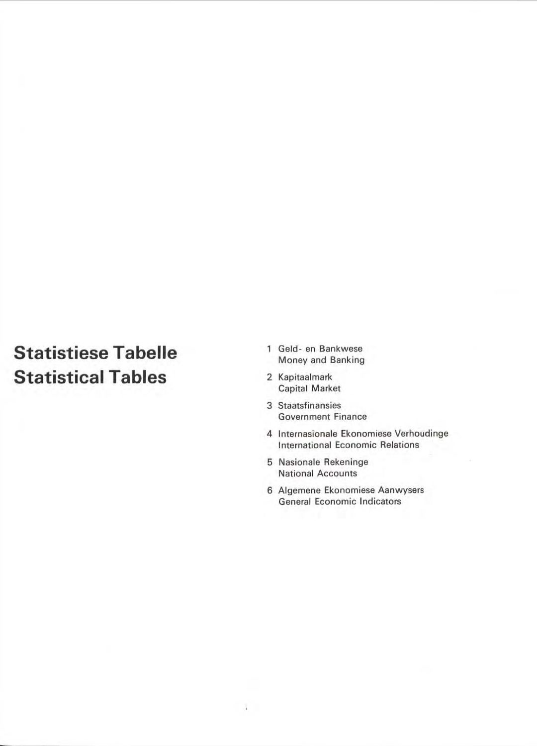# **Statistiese Tabelle Statistical Tables**

- 1 Geld- en Bankwese Money and Banking
- 2 Kapitaalmark Capital Market
- 3 Staatsfinansies Government Finance
- 4 Internasionale Ekonomiese Verhoudinge International Economic Relations
- 5 Nasionale Rekeninge National Accounts

 $\mathcal{A}^{\mathcal{A}}$  .

6 Aigemene Ekonomiese Aanwysers General Economic Indicators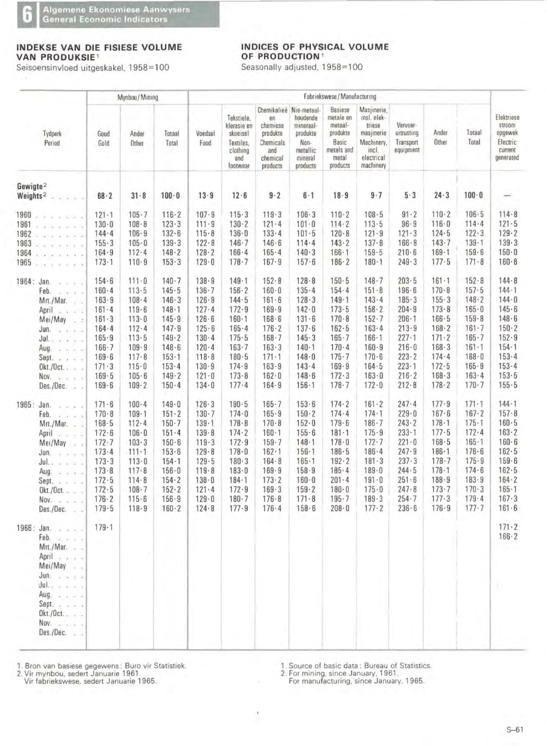## **INDEKSE VAN DIE FISIESE VOLUME VAN PRODUKSIE<sup>1</sup>**

Seisoensinvloed uitgeskakel, 1958=100

î

 $\sim$   $\sim$ 

### **INDICES OF PHYSICAL VOLUME OF PRODUCTION** <sup>1</sup>

Seasonally adjusted. 1958=100

|                                                                                                                                                                                                                                                                                               |                                                                                                                                              | Mynbou / Mining                                                                                                                                      |                                                                                                                                                          | Fabriekswese / Manufacturing                                                                                                                     |                                                                                                                                                          |                                                                                                                                              |                                                                                                                                                      |                                                                                                                                                      |                                                                                                                                                      |                                                                                                                                                          |                                                                                                                                                      |                                                                                                                                                          |                                                                                                                                                          |
|-----------------------------------------------------------------------------------------------------------------------------------------------------------------------------------------------------------------------------------------------------------------------------------------------|----------------------------------------------------------------------------------------------------------------------------------------------|------------------------------------------------------------------------------------------------------------------------------------------------------|----------------------------------------------------------------------------------------------------------------------------------------------------------|--------------------------------------------------------------------------------------------------------------------------------------------------|----------------------------------------------------------------------------------------------------------------------------------------------------------|----------------------------------------------------------------------------------------------------------------------------------------------|------------------------------------------------------------------------------------------------------------------------------------------------------|------------------------------------------------------------------------------------------------------------------------------------------------------|------------------------------------------------------------------------------------------------------------------------------------------------------|----------------------------------------------------------------------------------------------------------------------------------------------------------|------------------------------------------------------------------------------------------------------------------------------------------------------|----------------------------------------------------------------------------------------------------------------------------------------------------------|----------------------------------------------------------------------------------------------------------------------------------------------------------|
| Tydperk<br>Period                                                                                                                                                                                                                                                                             | Goud<br>Gold                                                                                                                                 | Ander<br>Other                                                                                                                                       | Totaal<br>Total                                                                                                                                          | Voedsel<br>Food                                                                                                                                  | Tekstiele,<br>klerasie en<br>skoeisel<br>Textiles,<br>clothing<br>and<br>footwear                                                                        | Chemikalieë<br>en<br>chemiese<br>produkte<br>Chemicals<br>and<br>chemical<br>products                                                        | Nie-metaal-<br>houdende<br>mineraal-<br>produkte<br>Non-<br>metallic<br>mineral<br>products                                                          | Basiese<br>metale en<br>metaal-<br>produkte<br>Basic<br>metals and<br>metal<br>products                                                              | Masjinerie,<br>insl. elek-<br>triese<br>masjinerie<br>Machinery,<br>incl.<br>electrical<br>machinery                                                 | Vervoer-<br>uitrusting<br>Transport<br>equipment                                                                                                         | Ander<br>Other                                                                                                                                       | Totaal<br>Total                                                                                                                                          | Elektriese<br>stroom<br>opgewek<br>Electric<br>current<br>generated                                                                                      |
| Gewigte <sup>2</sup><br>Weights <sup>2</sup>                                                                                                                                                                                                                                                  | $68 - 2$                                                                                                                                     | $31 - 8$                                                                                                                                             | $100 - 0$                                                                                                                                                | $13 - 9$                                                                                                                                         | $12 - 6$                                                                                                                                                 | $9 - 2$                                                                                                                                      | $6-1$                                                                                                                                                | $18 - 9$                                                                                                                                             | $9 - 7$                                                                                                                                              | 5.3                                                                                                                                                      | $24 - 3$                                                                                                                                             | $100 - 0$                                                                                                                                                |                                                                                                                                                          |
| 1960<br>$4.14 - 4.0$<br>1961<br>$-1$ $-1$ $-1$ $-1$<br>1962<br>9.9.4.1.1.4<br>1963<br>.<br>1964<br>$-2$ $-2$ $-2$ $-2$<br>1965<br>$37 - 7 = 4 - 3$                                                                                                                                            | $121 - 1$<br>$130 - 0$<br>$144 - 4$<br>$155 - 3$<br>$164 - 9$<br>$173 - 1$                                                                   | $105 - 7$<br>$108 - 8$<br>$106 - 9$<br>$105 - 0$<br>$112 - 4$<br>$110 - 9$                                                                           | $116 - 2$<br>$123 - 3$<br>$132 - 6$<br>$139 - 3$<br>148.2<br>$153 - 3$                                                                                   | $107 - 9$<br>$111 - 9$<br>$115 - 8$<br>$122 - 8$<br>$128 - 2$<br>$129 - 0$                                                                       | $115 - 3$<br>$130 - 2$<br>$136 - 0$<br>$146 - 7$<br>$166 - 4$<br>$178 - 7$                                                                               | 119.3<br>$121 - 4$<br>$133 - 4$<br>$146 - 6$<br>$165 - 4$<br>$167 - 9$                                                                       | $106 - 3$<br>$101 - 0$<br>$101 - 5$<br>$114 - 4$<br>$140 - 3$<br>$157 - 6$                                                                           | $110 - 2$<br>$114 - 2$<br>$120 - 8$<br>$143 - 2$<br>$166 - 1$<br>$186 - 2$                                                                           | 108.5<br>$113 - 5$<br>$121 - 9$<br>$137 - 8$<br>$159 - 5$<br>$180 - 1$                                                                               | $91 - 2$<br>$96 - 9$<br>$121 - 3$<br>$166 - 8$<br>$210 - 6$<br>249.3                                                                                     | $110 - 2$<br>$116 - 0$<br>$124 - 5$<br>143.7<br>$169 - 1$<br>$177 - 5$                                                                               | $106 - 5$<br>$114 - 4$<br>$122 - 3$<br>$139 - 1$<br>159.6<br>$171 - 8$                                                                                   | $114 - 8$<br>$121 - 5$<br>$129 - 2$<br>139.3<br>$150 - 0$<br>$160 - 8$                                                                                   |
| 1964:<br>Jan.<br>$x - 1 = 0$<br>Feb.<br>4.7.7.4<br>Mrt./Mar.<br>$\mathcal{L}$ .<br>April<br>4.2.2.4<br>Mei/May<br>$\sqrt{2}$<br>Jun.<br>$2 - 1$<br>20<br>Julian and the<br>Aug.<br>$-4.1 - 2.1 - 4.1$<br>Sept.<br>$Okt./Oct.$ .<br>$-16$<br>Nov.<br>$\overline{a}$ .<br>Des./Dec.<br>$-1 - 1$ | $154 - 6$<br>$160 - 4$<br>$163 - 9$<br>$161 - 4$<br>$161 - 3$<br>164.4<br>$165 - 9$<br>$166 - 7$<br>$169 - 6$<br>171.3<br>$169 - 5$<br>169.6 | $111 - 0$<br>113.5<br>$108 - 4$<br>$119 - 6$<br>$113 - 0$<br>$112 - 4$<br>$113 - 5$<br>$109 - 9$<br>$117 - 8$<br>$115 - 0$<br>$105 - 6$<br>$109 - 2$ | $140 - 7$<br>145.5<br>146.3<br>$148 - 1$<br>145.9<br>$147 - 9$<br>$149 - 2$<br>$148 - 6$<br>$153 - 1$<br>$153 - 4$<br>149.2<br>$150 - 4$                 | $138 - 9$<br>$136 - 7$<br>126.9<br>$127 - 4$<br>$126 - 6$<br>$125 - 6$<br>$130 - 4$<br>$120 - 4$<br>118.8<br>$130 - 9$<br>$121 - 0$<br>$134 - 0$ | $149 - 1$<br>$156 - 2$<br>$144 - 5$<br>$172 - 9$<br>$160 - 1$<br>$165 - 4$<br>$175 - 5$<br>$163 - 7$<br>$180 - 5$<br>$174 - 9$<br>$173 - 8$<br>$177 - 4$ | $152 - 8$<br>$160 - 0$<br>$161 - 6$<br>$169 - 9$<br>168.6<br>$176 - 2$<br>$168 - 7$<br>163.3<br>$171 - 1$<br>163.9<br>$162 - 0$<br>$164 - 9$ | $128 - 8$<br>$135 - 4$<br>$128 - 3$<br>$142 - 0$<br>131.6<br>$137 - 6$<br>$145 - 3$<br>$140 - 1$<br>$148 - 0$<br>$143 - 4$<br>148.6<br>$156 - 1$     | $150 - 5$<br>$154 - 4$<br>$149 - 1$<br>$173 - 5$<br>$170 - 8$<br>$162 - 5$<br>$165 - 7$<br>$170 - 4$<br>$175 - 7$<br>$169 - 9$<br>172.3<br>$178 - 7$ | $148 - 7$<br>$151 - 8$<br>$143 - 4$<br>$158 - 2$<br>$152 - 7$<br>163.4<br>$166 - 1$<br>$160 - 9$<br>$170 - 6$<br>$164 - 5$<br>$163 - 0$<br>$172 - 0$ | $203 - 5$<br>$196 - 6$<br>$185 - 3$<br>$204 - 9$<br>$206 - 1$<br>$213 - 9$<br>$227 - 1$<br>$216 - 0$<br>$223 - 2$<br>$223 - 1$<br>$216 - 2$<br>$212 - 8$ | $161 - 1$<br>$170 - 8$<br>$155 - 3$<br>$173 - 8$<br>$166 - 5$<br>$168 - 2$<br>$171 - 2$<br>$168 - 3$<br>$174 - 4$<br>172.5<br>$168 - 3$<br>$178 - 2$ | $152 - 8$<br>$157 - 5$<br>$148 - 2$<br>$165 - 0$<br>$159 - 8$<br>$161 - 7$<br>$165 - 7$<br>$161 - 1$<br>$168 - 0$<br>$165 - 9$<br>$163 - 4$<br>$170 - 7$ | $144 - 8$<br>$144 - 1$<br>$144 - 0$<br>$145 - 6$<br>$148 - 6$<br>$150 - 2$<br>$152 - 9$<br>$154 - 1$<br>$153 - 4$<br>$153 - 4$<br>$153 - 5$<br>$155 - 5$ |
| 1965: Jan.<br>Feb.<br>$Mrt./Mar.$ .<br>April<br>$Mei/May$ .<br>Jun.<br>با با به با <b>بال</b><br>Aug. $\cdots$<br>Sept.<br>Okt./Oct<br>Nov. $\cdots$<br>$Des./Dec.$ .                                                                                                                         | $171 - 6$<br>$170 - 8$<br>$168 - 5$<br>$172 - 6$<br>$172 - 7$<br>173.4<br>173.3<br>$173 - 8$<br>$172 - 5$<br>$172 - 5$<br>176.2<br>179.5     | $100 - 4$<br>$109 - 1$<br>$112 - 4$<br>$106 - 0$<br>103.3<br>$111 - 1$<br>$113 - 0$<br>$117 - 8$<br>$114 - 8$<br>$108 - 7$<br>$115 - 6$<br>$118 - 9$ | $149 - 0$<br>$151 - 2$<br>$150 - 7$<br>$151 - 4$<br>$150 - 6$<br>$153 - 6$<br>$154 - 1$<br>$156 - 0$<br>$154 - 2$<br>$152 - 2$<br>$156 - 9$<br>$160 - 2$ | $126 - 3$<br>$130 - 7$<br>$139 - 1$<br>139.8<br>$119 - 3$<br>129.8<br>$129 - 5$<br>119.8<br>$138 - 0$<br>$121 - 4$<br>$129 - 0$<br>$124 - 8$     | 190.5<br>$174 - 0$<br>$178 - 8$<br>$174 - 2$<br>172.9<br>$178 - 0$<br>$180 - 3$<br>$183 - 0$<br>$184 - 1$<br>$172 - 9$<br>$180 - 7$<br>$177 - 9$         | $165 - 7$<br>165.9<br>170.8<br>$160 - 1$<br>$159 - 7$<br>$162 - 1$<br>$164 - 8$<br>$169 - 9$<br>$173 - 2$<br>169.3<br>$176 - 8$<br>$176 - 4$ | $153 - 6$<br>$150 - 2$<br>$152 - 0$<br>$155 - 6$<br>$148 - 1$<br>$156 - 1$<br>$165 - 1$<br>158.9<br>$160 - 0$<br>$159 - 2$<br>$171 - 8$<br>$158 - 6$ | $174 - 2$<br>174.4<br>179.6<br>$181 - 1$<br>$178 - 0$<br>$186 - 5$<br>$192 - 2$<br>$185 - 4$<br>$201 - 4$<br>$180 - 0$<br>$195 - 7$<br>$208 - 0$     | $161 - 2$<br>$174 - 1$<br>$186 - 7$<br>$175 - 9$<br>$172 - 7$<br>$186 - 4$<br>181.3<br>$189 - 0$<br>$191 \cdot 0$<br>$175 - 0$<br>189.3<br>$177 - 2$ | $247 - 4$<br>$229 - 0$<br>243.2<br>$233 - 1$<br>$221 - 0$<br>$247 - 9$<br>237.3<br>$244 - 5$<br>$251 - 6$<br>$247 - 8$<br>$254 - 7$<br>$236 - 6$         | $177 - 9$<br>$167 - 6$<br>$178 - 1$<br>$177 - 5$<br>168.5<br>$186 - 1$<br>$178 - 7$<br>$178 - 1$<br>$188 - 9$<br>$173 - 7$<br>$177 - 3$<br>176.9     | $171 - 1$<br>$167 - 2$<br>$175 - 1$<br>172.4<br>$165 - 1$<br>$176 - 6$<br>$175 - 9$<br>174.6<br>183.9<br>$170 - 3$<br>$179 - 4$<br>$177 - 7$             | $144 - 1$<br>$157 - 8$<br>160.5<br>163.2<br>$160 - 6$<br>$162 - 5$<br>$159 - 6$<br>162.5<br>$164 - 2$<br>$165 - 1$<br>167.3<br>$161 - 6$                 |
| 1966:<br>Jan.<br>$-1 - 1 - 1 = 0$<br>Feb.<br>Mrt./Mar.<br>April<br>Mei/May<br>$Jun.$ $.$ $.$ $.$ $.$<br>و میں مطابق<br>Aug. $\cdots$<br>Sept. $\ldots$<br>$Okt./Oct.$<br>Nov. $\cdots$<br>$Des./Dec.$ .                                                                                       | $179 - 1$                                                                                                                                    |                                                                                                                                                      |                                                                                                                                                          |                                                                                                                                                  |                                                                                                                                                          |                                                                                                                                              |                                                                                                                                                      |                                                                                                                                                      |                                                                                                                                                      |                                                                                                                                                          |                                                                                                                                                      |                                                                                                                                                          | $171 - 2$<br>$166 - 2$                                                                                                                                   |

**1. Bran van basiese gegewens : Buro vir \$tatistiek.** 

**2. Vir mynbau, sedert Januarie 1961 .** 

**Vir fabriekswese, sedert Januarie 1965.** 

1. **Source of basic data : Bureau of Statistics.** 

**2. For mining, since January, 1961 .** 

**For manufacturing, since January. 1965.** 

×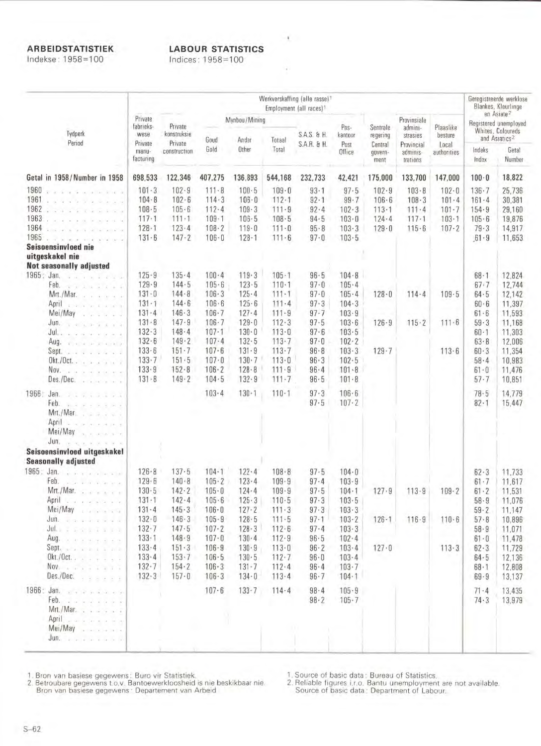## **ARBEIDSTATISTIEK**

Indekse: 1958=100

# **LABOUR STATISTICS**

¥.

×

Indices: 1958=100

|                      |                                                                                                                         | Werkverskaffing (alle rasse) <sup>1</sup><br>Employment (all races) <sup>1</sup> |                                              |                                                  |                                              |                                              |                                            |                                                  |                                        |                                                |                                 |                                                                      | Geregistreerde werklose<br>Blankes, Kleurlinge |  |
|----------------------|-------------------------------------------------------------------------------------------------------------------------|----------------------------------------------------------------------------------|----------------------------------------------|--------------------------------------------------|----------------------------------------------|----------------------------------------------|--------------------------------------------|--------------------------------------------------|----------------------------------------|------------------------------------------------|---------------------------------|----------------------------------------------------------------------|------------------------------------------------|--|
| Tydperk              |                                                                                                                         | Private<br>fabrieks-<br>wese                                                     | Private<br>konstruksie                       |                                                  | Mynbou / Mining                              |                                              | S.A.S. & H.                                | Pos-                                             | Sentrale                               | Provinsiale<br>admini-                         | Plaaslike                       | en Asiate <sup>2</sup><br>Registered unemployed<br>Whites, Coloureds |                                                |  |
|                      | Period                                                                                                                  | Private<br>manu-<br>facturing                                                    | Private<br>construction                      | Goud<br>Gold                                     | Ander<br>Other                               | Totaal<br>Total                              | S.A.R. & H.                                | kantoor<br>Post<br>Office                        | regering<br>Central<br>govern-<br>ment | strasies<br>Provincial<br>adminis-<br>trations | besture<br>Local<br>authorities | and Asiatics <sup>2</sup><br>Indeks<br>Getal<br>Index<br>Number      |                                                |  |
|                      | Getal in 1958/Number in 1958                                                                                            | 698,533                                                                          | 122,346                                      | 407,275                                          | 136,893                                      | 544,168                                      | 232,733                                    | 42,421                                           | 175,000                                | 133,700                                        | 147,000                         | $100 - 0$                                                            | 18,822                                         |  |
| 1960<br>1961<br>1962 | Service Car Strate and<br>Stripping                                                                                     | 101.3<br>$104 - 8$<br>108.5                                                      | $102 - 9$<br>$102 - 6$<br>$105 - 6$          | $111 - 8$<br>$114 - 3$<br>$112 - 4$              | $100 - 5$<br>$106 - 0$<br>109.3              | $109 - 0$<br>$112 - 1$<br>$111 - 9$          | $93 - 1$<br>$92 - 1$<br>92.4               | 97.5<br>$99 - 7$<br>$102 - 3$                    | $102 - 9$<br>$106 - 6$<br>$113 - 1$    | 103.8<br>$108 - 3$<br>$111 - 4$                | $102 - 0$<br>101.4<br>$101 - 7$ | $136 - 7$<br>$161 - 4$<br>154.9                                      | 25,736<br>30,381<br>29,160                     |  |
| 1963<br>1964<br>1965 | a term for a terminal                                                                                                   | $117 - 1$<br>$128 - 1$<br>$131 - 6$                                              | $111 - 1$<br>$123 - 4$<br>$147 - 2$          | $109 - 1$<br>$108 - 2$<br>$106 - 0$              | $106 - 5$<br>$119 - 0$<br>$128 - 1$          | $108 - 5$<br>$111 - 0$<br>$111 - 6$          | 94.5<br>$95 - 8$<br>$97 - 0$               | $103 - 0$<br>103.3<br>$103 - 5$                  | $124 - 4$<br>$129 - 0$                 | $117 - 1$<br>115.6                             | $103 - 1$<br>$107 - 2$          | $105 - 6$<br>$79 - 3$<br>$61 - 9$                                    | 19,876<br>14,917<br>11,653                     |  |
|                      | Seisoensinvloed nie<br>uitgeskakel nie                                                                                  |                                                                                  |                                              |                                                  |                                              |                                              |                                            |                                                  |                                        |                                                |                                 |                                                                      |                                                |  |
| 1965: Jan.           | <b>Not seasonally adjusted</b><br>Feb.                                                                                  | $125 - 9$<br>$129 - 9$                                                           | $135 - 4$<br>$144 - 5$                       | $100 - 4$<br>105.6                               | 119.3<br>$123 - 5$                           | $105 - 1$<br>$110 - 1$                       | $96 - 5$<br>$97 - 0$                       | $104 - 8$<br>$105 - 4$                           |                                        |                                                |                                 | $68 - 1$<br>67.7                                                     | 12.824<br>12,744                               |  |
|                      | $x + 1 + 1 + 1 + 1$<br>Mrt./Mar.<br>when a control of the<br>April<br><b>Carlo Carlos</b>                               | $131 - 0$<br>$131 - 1$                                                           | $144 - 8$<br>$144 - 6$                       | $106 - 3$<br>$106 - 6$                           | 125.4<br>$125 - 6$                           | $111 - 1$<br>$111 - 4$                       | $97 - 0$<br>$97 - 3$                       | $105 - 4$<br>$104 - 3$                           | $128 - 0$                              | $114 - 4$                                      | 109.5                           | $64 - 5$<br>$60 - 6$                                                 | 12,142<br>11,397                               |  |
|                      | Mei/May<br>$1 - 2 - 2 - 1 - 2$<br>during a series and a<br>Jul<br>castle internet for the castle                        | $131 - 4$<br>131.8<br>$132 - 3$                                                  | 146.3<br>$147 - 9$<br>148.4                  | $106 - 7$<br>$106 - 7$<br>$107 - 1$              | $127 - 4$<br>$129 - 0$<br>$130 - 0$          | $111 - 9$<br>112.3<br>$113 - 0$              | $97 - 7$<br>$97 - 5$<br>$97 - 6$           | 103.9<br>103.6<br>$103 - 5$                      | $126 - 9$                              | $115 - 2$                                      | $111 - 6$                       | $61 - 6$<br>59.3<br>$60 - 1$                                         | 11,593<br>11,168<br>11,303                     |  |
|                      | Aug.<br><b>KIND AT A RIVER</b><br>Sept.<br>provide a contractor<br>$0$ kt./ $0$ ct                                      | $132 - 6$<br>$133 - 6$<br>$133 - 7$                                              | $149 - 2$<br>$151 - 7$<br>$151 - 5$          | $107 - 4$<br>$107 - 6$<br>$107 - 0$              | $132 - 5$<br>131.9<br>$130 - 7$              | $113 - 7$<br>113.7<br>$113 - 0$              | $97 - 0$<br>$96 - 8$<br>96.3               | $102 - 2$<br>$103 - 3$<br>$102 - 5$              | $129 - 7$                              |                                                | 113.6                           | $63 - 8$<br>60.3<br>$58 - 4$                                         | 12,006<br>11,354<br>10,983                     |  |
|                      | Nov.<br>tale de la sera conse<br>Des./Dec.<br>The contract of the                                                       | 133.9<br>$131 - 8$                                                               | $152 - 8$<br>149.2                           | $106 - 2$<br>104.5                               | 128.8<br>132.9                               | 111.9<br>$111 - 7$                           | $96 - 4$<br>96.5                           | $101 - 8$<br>101.8                               |                                        |                                                |                                 | $61 - 0$<br>$57 - 7$                                                 | 11,476<br>10,851                               |  |
| 1966:                | Jan.<br>1.1.1.1<br>Feb.<br>$Mrt./Mar.$ , $- - -$<br>April <i>and a service</i> of the service of                        |                                                                                  |                                              | $103 - 4$                                        | $130 - 1$                                    | $110 - 1$                                    | 97.3<br>97.5                               | $106 - 6$<br>$107 - 2$                           |                                        |                                                |                                 | 78.5<br>$82 - 1$                                                     | 14,779<br>15,447                               |  |
|                      | Mei/May<br><b>ALCOHOL:</b><br>$J$ un. $\ldots$ $\ldots$ $\ldots$ $\ldots$<br>Seisoensinvloed uitgeskakel                |                                                                                  |                                              |                                                  |                                              |                                              |                                            |                                                  |                                        |                                                |                                 |                                                                      |                                                |  |
|                      | <b>Seasonally adjusted</b><br>1965: Jan.                                                                                | $126 - 8$                                                                        | $137 - 5$                                    | $104 - 1$                                        | $122 - 4$                                    | $108 - 8$                                    | 97.5                                       | $104 - 0$                                        |                                        |                                                |                                 | 62.3                                                                 | 11,733                                         |  |
|                      | Feb.<br>participation and<br>Mrt./Mar.<br>April Land and State<br>Mei/May                                               | 129.6<br>$130 - 5$<br>$131 - 1$<br>$131 - 4$                                     | $140 - 8$<br>142.2<br>$142 - 4$<br>145.3     | $105 - 2$<br>$105 - 0$<br>$105 - 6$<br>$106 - 0$ | $123 - 4$<br>$124 - 4$<br>125.3<br>$127 - 2$ | $109 - 9$<br>109.9<br>110.5<br>$111 - 3$     | 97.4<br>$97 - 5$<br>$97 - 3$<br>97.3       | $103 - 9$<br>$104 - 1$<br>$103 - 5$<br>103.3     | 127.9                                  | 113.9                                          | $109 - 2$                       | $61 - 7$<br>$61 - 2$<br>$58 - 9$<br>$59 - 2$                         | 11,617<br>11,531<br>11,076<br>11,147           |  |
|                      | June and a company of<br>July 7 Secret 1 1 1 1<br>Aug.                                                                  | $132 - 0$<br>$132 - 7$<br>$133 - 1$                                              | $146 - 3$<br>147.5<br>148.9                  | $105 - 9$<br>$107 - 2$<br>$107 - 0$              | $128 - 5$<br>$128 - 3$<br>$130 - 4$          | $111 - 5$<br>$112 - 6$<br>112.9              | 97.1<br>$97 - 4$<br>$96 - 5$               | $103 - 2$<br>$103 - 3$<br>$102 - 4$              | $126 - 1$                              | 116.9                                          | $110 - 6$                       | $57 - 8$<br>58.9<br>61.0                                             | 10,896<br>11,071<br>11,478                     |  |
|                      | Sept. 2012 and a man<br>$Okt./Oct.$ $\ldots$ $\ldots$ $\ldots$<br>Nov.<br>.<br>Des./Dec.<br>998999                      | 133.4<br>133.4<br>$132 - 7$<br>132.3                                             | 151.3<br>$153 - 7$<br>$154 - 2$<br>$157 - 0$ | $106 - 9$<br>$106 - 5$<br>$106 - 3$<br>$106 - 3$ | 130.9<br>130.5<br>$131 - 7$<br>$134 - 0$     | $113 - 0$<br>$112 - 7$<br>112.4<br>$113 - 4$ | $96 - 2$<br>$96-0$<br>$96 - 4$<br>$96 - 7$ | $103 - 4$<br>$103 - 4$<br>$103 - 7$<br>$104 - 1$ | $127 - 0$                              |                                                | 113.3                           | $62 - 3$<br>$64 - 5$<br>$68 - 1$<br>$69 - 9$                         | 11,729<br>12,136<br>12,808<br>13,137           |  |
| 1966: Jan.           | $x - 2 - 5 - 3 - 6 - 6 - 6$<br>Feb.<br>$Mrt./Mar.$ $\ldots$ $\ldots$ $\ldots$                                           |                                                                                  |                                              | $107 - 6$                                        | $133 - 7$                                    | $114 - 4$                                    | $98 - 4$<br>$98 - 2$                       | $105 - 9$<br>$105 - 7$                           |                                        |                                                |                                 | $71 - 4$<br>74.3                                                     | 13,435<br>13,979                               |  |
|                      | April 2000 and 2000<br>Mei/May<br>$\begin{array}{cccccccccccccc} a & a & a & b & b & b & c & c & d \end{array}$<br>Jun. |                                                                                  |                                              |                                                  |                                              |                                              |                                            |                                                  |                                        |                                                |                                 |                                                                      |                                                |  |

1. Bron van basiese gegewens: Buro vir Statistiek.<br>2. Betroubare gegewens t.o.v. Bantoewerkloosheid is nie beskikbaar nie.<br>Bron van basiese gegewens: Departement van Arbeid

1. Source of basic data: Bureau of Statistics.<br>2. Reliable figures i.r.o. Bantu unemployment are not available.<br>Source of basic data: Department of Labour.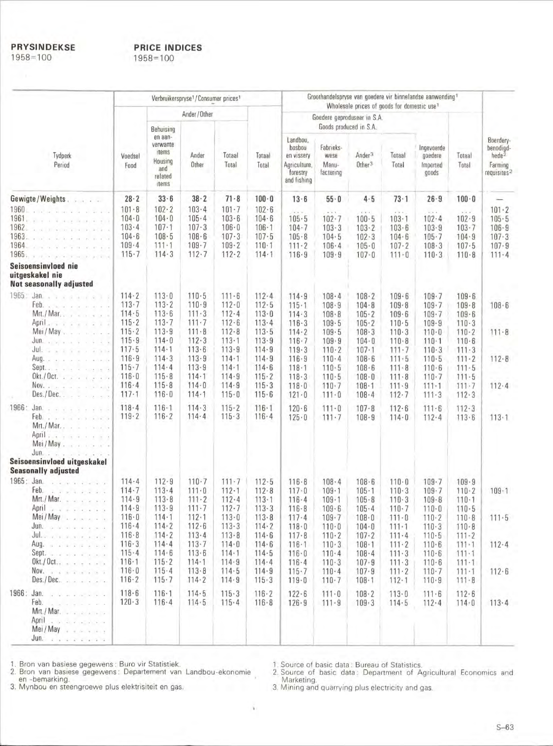**PRYSINDEKSE**  $1958 = 100$ 

## **PRICE INDICES**  $1958 = 100$

| Verbruikerspryse <sup>1</sup> /Consumer prices <sup>1</sup> |                                                                                                                                                                                                                              |                                                                            |                                                                        |                                                                            |                                                                            |                                                                    | Groothandelspryse van goedere vir binnelandse aanwending <sup>1</sup>                  |                                                                            |                                                                        |                                                                    |                                                                            |                                                                            |                                                                                   |
|-------------------------------------------------------------|------------------------------------------------------------------------------------------------------------------------------------------------------------------------------------------------------------------------------|----------------------------------------------------------------------------|------------------------------------------------------------------------|----------------------------------------------------------------------------|----------------------------------------------------------------------------|--------------------------------------------------------------------|----------------------------------------------------------------------------------------|----------------------------------------------------------------------------|------------------------------------------------------------------------|--------------------------------------------------------------------|----------------------------------------------------------------------------|----------------------------------------------------------------------------|-----------------------------------------------------------------------------------|
| Tydperk<br>Period                                           |                                                                                                                                                                                                                              |                                                                            | Ander / Other                                                          |                                                                            |                                                                            |                                                                    | Wholesale prices of goods for domestic use <sup>1</sup><br>Goedere geproduseer in S.A. |                                                                            |                                                                        |                                                                    |                                                                            |                                                                            |                                                                                   |
|                                                             |                                                                                                                                                                                                                              | Voedsel<br>Food                                                            | Behuising                                                              |                                                                            |                                                                            |                                                                    |                                                                                        | Goods produced in S.A.                                                     |                                                                        |                                                                    |                                                                            |                                                                            |                                                                                   |
|                                                             |                                                                                                                                                                                                                              |                                                                            | en aan-<br>verwante<br>items<br>Housing<br>and<br>related<br>items     | Ander<br>Other                                                             | Totaal<br>Total                                                            | Totaal<br>Total                                                    | Landbou,<br>bosbou<br>en vissery<br>Agriculture,<br>forestry<br>and fishing            | Fabrieks-<br>wese<br>Manu-<br>facturing                                    | Ander <sup>3</sup><br>Other <sup>3</sup>                               | Totaal<br>Total                                                    | Ingevoerde<br>goedere<br>Imported<br>goods                                 | Totaal<br>Total                                                            | Boerdery-<br>benodigd-<br>hede <sup>2</sup><br>Farming<br>requisites <sup>2</sup> |
|                                                             | Gewigte/Weights.<br>and a last                                                                                                                                                                                               | $28 - 2$                                                                   | $33 - 6$                                                               | $38 - 2$                                                                   | $71 - 8$                                                                   | $100 - 0$                                                          | $13 - 6$                                                                               | $55 - 0$                                                                   | $4 - 5$                                                                | $73 - 1$                                                           | $26 - 9$                                                                   | $100 - 0$                                                                  |                                                                                   |
| 1960<br>1961<br>1962.<br>1963.<br>1964<br>1965.             | where we are the state of the<br>South Program and a card and<br>and the con-<br>the state of a control<br>Seisoensinvloed nie                                                                                               | $101 - 8$<br>$104 - 0$<br>$103 - 4$<br>$104 - 6$<br>$109 - 4$<br>$115 - 7$ | $102 - 2$<br>$104 - 0$<br>$107 - 1$<br>108.5<br>$111 - 1$<br>$114 - 3$ | $103 - 4$<br>$105 - 4$<br>$107 - 3$<br>$108 - 6$<br>$109 - 7$<br>$112 - 7$ | $101 - 7$<br>$103 - 6$<br>$106 - 0$<br>$107 - 3$<br>$109 - 2$<br>$112 - 2$ | $102 - 6$<br>$104 - 6$<br>$106 - 1$<br>$107 - 5$<br>110.1<br>114.1 | $1 - 6 - 11$<br>105.5<br>$104 - 7$<br>$105 - 8$<br>$111 - 2$<br>116.9                  | $4 - 6 - 3$<br>$102 - 7$<br>$103 - 3$<br>104.5<br>$106 - 4$<br>$109 - 9$   | (1)<br>$100 - 5$<br>$103 - 2$<br>102.3<br>$105 - 0$<br>$107 - 0$       | 1.2.1<br>$103 - 1$<br>103.6<br>$104 - 6$<br>$107 - 2$<br>$111 - 0$ | 1.1.4<br>$102 - 4$<br>103.9<br>$105 - 7$<br>108.3<br>$110-3$               | 18.1<br>$102 - 9$<br>$103 - 7$<br>$104 - 9$<br>$107 - 5$<br>$110 - 8$      | $101 - 2$<br>$105 - 5$<br>$106 - 9$<br>107.3<br>$107 - 9$<br>$111 - 4$            |
|                                                             | uitgeskakel nie<br><b>Not seasonally adjusted</b>                                                                                                                                                                            |                                                                            |                                                                        |                                                                            |                                                                            |                                                                    |                                                                                        |                                                                            |                                                                        |                                                                    |                                                                            |                                                                            |                                                                                   |
| 1965.                                                       | Feb.<br>definition and companies be<br>$Mrt./$ Mar, $\ldots$ , $\ldots$<br>April<br>$-2 - 2 - 2 - 2 - 2$<br>X<br>Mei / May<br>a marine<br><b>Jun</b> .                                                                       | $114 - 2$<br>113.7<br>114.5<br>$115 - 2$<br>115.2<br>$115 - 9$             | $113 - 0$<br>$113 - 2$<br>113.6<br>113.7<br>113.9<br>$114 - 0$         | $110 - 5$<br>$110 - 9$<br>$111 \cdot 3$<br>$111 - 7$<br>$111 - 8$<br>112.3 | $111 - 6$<br>$112 - 0$<br>$112 - 4$<br>$112 - 6$<br>$112 - 8$<br>$113 - 1$ | 112.4<br>$112 - 5$<br>$113 - 0$<br>113.4<br>$113 - 5$<br>113.9     | $114 - 9$<br>$115 - 1$<br>114.3<br>$116 - 3$<br>$114 - 2$<br>$116 - 7$                 | $108 - 4$<br>$108 - 9$<br>$108 - 8$<br>$109 - 5$<br>109.5<br>109.9         | $108 - 2$<br>$104 - 8$<br>$105 - 2$<br>105.2<br>$108 - 3$<br>$104 - 0$ | 109.6<br>$109 - 8$<br>$109 - 6$<br>110.5<br>110.3<br>$110 - 8$     | $109 - 7$<br>$109 - 7$<br>$109 - 7$<br>$109 - 9$<br>$110 - 0$<br>$110 - 1$ | $109 - 6$<br>$109 - 8$<br>$109 - 6$<br>$110 - 3$<br>$110 - 2$<br>$110 - 6$ | $108 - 6$<br>$111 - 8$                                                            |
|                                                             | Jul.<br>$\widetilde{\mathbf{x}} = \mathbf{1} - \widetilde{\mathbf{x}} + \widetilde{\mathbf{x}} + \mathbf{2}$<br>Aug.<br>Sept<br>the contract of the con-<br>$Okt./Oct.$<br>Nov.<br>$Des./Dec.$ .<br>$-2$ $-1$ $-1$ $-1$ $-1$ | 117.5<br>116.9<br>$115 - 7$<br>$116 - 0$<br>116.4<br>$117 - 1$             | $114 - 1$<br>114.3<br>114.4<br>115.8<br>115.8<br>116.0                 | 113.6<br>113.9<br>113.9<br>$114 - 1$<br>$114 - 0$<br>$114 - 1$             | 113.9<br>$114 - 1$<br>$114 - 1$<br>114.9<br>114.9<br>$115 - 0$             | $114 - 9$<br>$114 - 9$<br>$114 - 6$<br>$115 - 2$<br>115.3<br>115.6 | 119.3<br>116.9<br>118.1<br>118.3<br>$118 - 0$<br>$121 - 0$                             | $110 - 2$<br>$110 - 4$<br>$110 - 5$<br>$110 - 5$<br>$110 - 7$<br>$111 - 0$ | $107 - 1$<br>$108 - 6$<br>$108 - 6$<br>$108 - 0$<br>$108 - 1$<br>108.4 | $111 - 7$<br>$111 - 5$<br>111.8<br>111.8<br>$111 - 9$<br>$112 - 7$ | 110.3<br>110.5<br>$110 - 6$<br>$110 - 7$<br>$111 - 1$<br>$111 - 3$         | $111 - 3$<br>$111 - 2$<br>$111 - 5$<br>$111 - 5$<br>$111 - 7$<br>112.3     | $112 - 8$<br>112.4                                                                |
| 1966: Jan.                                                  | and a short with a<br>Feb.<br>$Mrt./$ Mar. $\ldots$ $\ldots$ $\ldots$ $\ldots$<br>April $\ldots$ $\ldots$ $\ldots$ $\ldots$<br>Mei/May<br>Jun.<br>$1.3 - 1.1 - 1.1 - 1.1 - 1.1$                                              | 118.4<br>119.2                                                             | $116 - 1$<br>$116 - 2$                                                 | 114.3<br>$114 - 4$                                                         | $115 - 2$<br>115.3                                                         | $116 - 1$<br>$116 - 4$                                             | $120 - 6$<br>$125 - 0$                                                                 | $111 - 0$<br>$111 - 7$                                                     | $107 - 8$<br>$108 - 9$                                                 | $112 - 6$<br>$114 - 0$                                             | $111 - 6$<br>$112 - 4$                                                     | $112 - 3$<br>113.6                                                         | 113.1                                                                             |
|                                                             | Seisoensinvloed uitgeskakel                                                                                                                                                                                                  |                                                                            |                                                                        |                                                                            |                                                                            |                                                                    |                                                                                        |                                                                            |                                                                        |                                                                    |                                                                            |                                                                            |                                                                                   |
| 1965: Jan.                                                  | <b>Seasonally adjusted</b><br>Feb.<br>$-2$ , $-2$ , $-2$ , $-2$ , $-2$ , $-2$ , $-2$<br>Mrt./Mar.                                                                                                                            | $114 - 4$<br>$114 - 7$<br>$114 - 9$                                        | $112 - 9$<br>113.4<br>113.8                                            | $110 - 7$<br>$111 - 0$<br>$111 - 2$                                        | 111.7<br>$112 - 1$<br>112.4                                                | 112.5<br>$112 - 8$<br>$113 - 1$                                    | $116 - 8$<br>$117 - 0$<br>116.4                                                        | $108 - 4$<br>$109 - 1$<br>$109 - 1$                                        | $108 - 6$<br>$105 - 1$<br>$105 - 8$                                    | $110 - 0$<br>$110 - 3$<br>110.3                                    | $109 - 7$<br>$109 - 7$<br>$109 - 8$                                        | 109.9<br>$110 - 2$<br>$110 - 1$                                            | $109 - 1$                                                                         |
|                                                             | April<br>$x + x + x + x + 1$<br>Mei/May<br>June of the state and a state<br>Julian and a series and                                                                                                                          | $114 - 9$<br>$116 - 0$<br>$116 - 4$<br>$116 - 8$                           | 113.9<br>$114 - 1$<br>$114 - 2$<br>$114 - 2$                           | $111 - 7$<br>112.1<br>$112 - 6$<br>113.4                                   | $112 - 7$<br>$113 - 0$<br>113.3<br>113.8                                   | $113 - 3$<br>$113 - 8$<br>$114 - 2$<br>$114 - 6$                   | $116 - 8$<br>$117 - 4$<br>$118 - 0$<br>$117 - 8$                                       | 109.6<br>$109 - 7$<br>$110 - 0$<br>$110 - 2$                               | $105 - 4$<br>$108 - 0$<br>$104 - 0$<br>$107 - 2$                       | 110.7<br>$111 - 0$<br>$111 - 1$<br>$111 - 4$                       | $110 - 0$<br>$110 - 2$<br>110.3<br>$110 - 5$                               | $110 - 5$<br>110.8<br>$110 - 8$<br>$111 - 2$                               | $111 - 5$                                                                         |
|                                                             | Aug.<br>Sept.<br>$0$ kt./ $0$ ct<br>Nov.                                                                                                                                                                                     | 116.3<br>$115 - 4$<br>$116 - 1$<br>$116 - 0$                               | 114.4<br>$114 - 6$<br>$115 - 2$<br>115.4                               | 113.7<br>$113 - 6$<br>$114 - 1$<br>113.8                                   | $114 - 0$<br>$114 - 1$<br>114.9<br>114.5                                   | 114.6<br>114.5<br>$114 - 4$<br>114.9                               | $116 - 1$<br>$116 - 0$<br>$116 - 4$<br>$115 - 7$                                       | 110.3<br>$110 - 4$<br>$110-3$<br>$110 - 4$                                 | $108 - 1$<br>$108 - 4$<br>$107 - 9$<br>107.9                           | $111 \cdot 2$<br>111.3<br>$111 \cdot 3$<br>$111 \cdot 2$           | 110.6<br>$110 - 6$<br>$110 - 6$<br>$110 - 7$                               | $111 - 1$<br>$111 - 1$<br>$111 - 1$<br>$111 - 1$                           | $112 - 4$<br>112.6                                                                |
|                                                             | $Des./Dec.$                                                                                                                                                                                                                  | $116 - 2$                                                                  | $115 - 7$                                                              | $114 - 2$                                                                  | 114.9                                                                      | 115.3                                                              | $119 - 0$                                                                              | $110 - 7$                                                                  | $108 - 1$                                                              | $112 - 1$                                                          | $110 - 9$                                                                  | $111 - 8$                                                                  |                                                                                   |
| 1966: Jan.                                                  | and a series of the<br>Feb.<br>.<br>Mrt./Mar.<br>April a summer and a series<br>Mei/May<br>Jun.<br>$2 - 2 - 2 - 2 - 2 - 2 - 2$                                                                                               | $118 - 6$<br>120.3                                                         | $116 - 1$<br>$116 - 4$                                                 | 114.5<br>114.5                                                             | $115 - 3$<br>$115 - 4$                                                     | $116 - 2$<br>$116 - 8$                                             | $122 - 6$<br>$126 - 9$                                                                 | $111 - 0$<br>$111 - 9$                                                     | 108.2<br>$109 - 3$                                                     | 113.0<br>$114 - 5$                                                 | $111 - 6$<br>112.4                                                         | 112.6<br>$114 - 0$                                                         | $113 - 4$                                                                         |

1. Bron van basiese gegewens: Buro vir Statistiek.<br>2. Bron van basiese gegewens: Departement van Landbou-ekonomie

en -bemarking.<br>3. Mynbou en steengroewe plus elektrisiteit en gas.

1. Source of basic data: Bureau of Statistics.<br>2. Source of basic data: Department of Agricultural Economics and<br>Marketing.<br>3. Mining and quarrying plus electricity and gas.